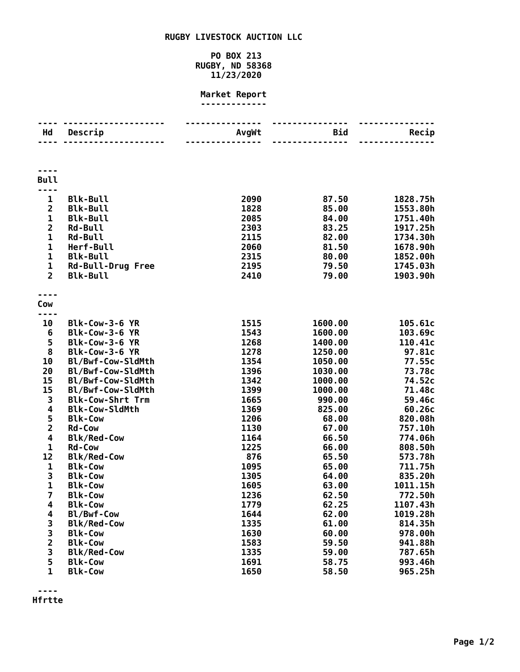## **RUGBY LIVESTOCK AUCTION LLC**

## **PO BOX 213 RUGBY, ND 58368 11/23/2020**

## **Market Report -------------**

| Hd                         | Descrip                  | AvgWt | Bid     | Recip    |
|----------------------------|--------------------------|-------|---------|----------|
|                            |                          |       |         |          |
|                            |                          |       |         |          |
|                            |                          |       |         |          |
| <b>Bull</b>                |                          |       |         |          |
| $\mathbf 1$                | <b>Blk-Bull</b>          | 2090  | 87.50   | 1828.75h |
| $\overline{2}$             | <b>Blk-Bull</b>          | 1828  | 85.00   | 1553.80h |
| 1                          | <b>Blk-Bull</b>          | 2085  | 84.00   | 1751.40h |
| $\overline{2}$             | <b>Rd-Bull</b>           | 2303  | 83.25   | 1917.25h |
| $\mathbf{1}$               | <b>Rd-Bull</b>           | 2115  | 82.00   | 1734.30h |
| $\mathbf 1$                | Herf-Bull                | 2060  | 81.50   | 1678.90h |
| $\mathbf{1}$               | <b>Blk-Bull</b>          | 2315  | 80.00   | 1852.00h |
| $\mathbf{1}$               | <b>Rd-Bull-Drug Free</b> | 2195  | 79.50   | 1745.03h |
| $\overline{2}$             | <b>Blk-Bull</b>          | 2410  | 79.00   | 1903.90h |
|                            |                          |       |         |          |
| Cow                        |                          |       |         |          |
| $\sim$ $\sim$ $\sim$<br>10 | Blk-Cow-3-6 YR           | 1515  | 1600.00 | 105.61c  |
| 6                          | Blk-Cow-3-6 YR           | 1543  | 1600.00 | 103.69c  |
| 5                          | Blk-Cow-3-6 YR           | 1268  | 1400.00 | 110.41c  |
| 8                          | Blk-Cow-3-6 YR           | 1278  | 1250.00 | 97.81c   |
| 10                         | Bl/Bwf-Cow-SldMth        | 1354  | 1050.00 | 77.55c   |
| 20                         | Bl/Bwf-Cow-SldMth        | 1396  | 1030.00 | 73.78c   |
| 15                         | Bl/Bwf-Cow-SldMth        | 1342  | 1000.00 | 74.52c   |
| 15                         | Bl/Bwf-Cow-SldMth        | 1399  | 1000.00 | 71.48c   |
| 3                          | <b>Blk-Cow-Shrt Trm</b>  | 1665  | 990.00  | 59.46c   |
| 4                          | <b>Blk-Cow-SldMth</b>    | 1369  | 825.00  | 60.26c   |
| 5                          | <b>Blk-Cow</b>           | 1206  | 68.00   | 820.08h  |
| $\overline{\mathbf{2}}$    | <b>Rd-Cow</b>            | 1130  | 67.00   | 757.10h  |
| 4                          | <b>Blk/Red-Cow</b>       | 1164  | 66.50   | 774.06h  |
| $\mathbf{1}$               | <b>Rd-Cow</b>            | 1225  | 66.00   | 808.50h  |
| 12                         | <b>Blk/Red-Cow</b>       | 876   | 65.50   | 573.78h  |
| 1                          | <b>Blk-Cow</b>           | 1095  | 65.00   | 711.75h  |
| 3                          | <b>Blk-Cow</b>           | 1305  | 64.00   | 835.20h  |
| $\mathbf 1$                | <b>Blk-Cow</b>           | 1605  | 63.00   | 1011.15h |
| $\overline{\mathbf{z}}$    | <b>Blk-Cow</b>           | 1236  | 62.50   | 772.50h  |
| 4                          | <b>Blk-Cow</b>           | 1779  | 62.25   | 1107.43h |
| 4                          | Bl/Bwf-Cow               | 1644  | 62.00   | 1019.28h |
| 3                          | <b>Blk/Red-Cow</b>       | 1335  | 61.00   | 814.35h  |
| $\frac{3}{2}$              | <b>Blk-Cow</b>           | 1630  | 60.00   | 978.00h  |
|                            | <b>Blk-Cow</b>           | 1583  | 59.50   | 941.88h  |
| 3                          | <b>Blk/Red-Cow</b>       | 1335  | 59.00   | 787.65h  |
| 5                          | <b>Blk-Cow</b>           | 1691  | 58.75   | 993.46h  |
| $\mathbf{1}$               | <b>Blk-Cow</b>           | 1650  | 58.50   | 965.25h  |

**---- Hfrtte**